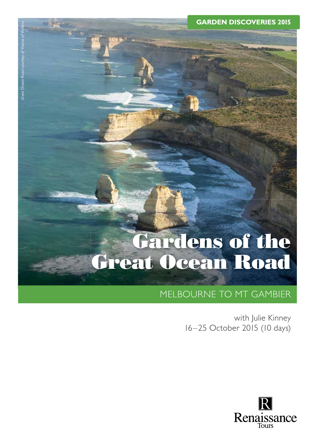**GARDEN DISCOVERIES 2015**

# **Gardens of the Great Ocean Road**

# MELBOURNE TO MT GAMBIER

with Julie Kinney 16–25 October 2015 (10 days)

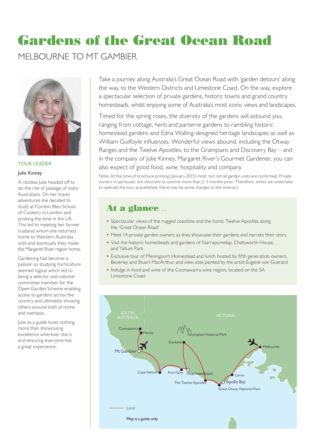# **Gardens of the Great Ocean Road**

MELBOURNE TO MT GAMBIER



TOUR LEADER

### Julie Kinney

A restless Julie headed off to do the rite of passage of many Australians. On her travel adventures she decided to study at Cordon Bleu School of Cookery in London and prolong the time in the UK. This led to meeting her farmer husband whom she returned home to Western Australia with and eventually they made the Margaret River region home.

Gardening had become a passion so studying horticulture seemed logical which led to being a selector and national committee member for the Open Garden Scheme enabling access to gardens across the country and ultimately showing others around both at home and overseas.

Julie as a guide loves nothing more than showcasing excellence wherever she is and ensuring everyone has a great experience.

Take a journey along Australia's Great Ocean Road with 'garden detours' along the way, to the Western Districts and Limestone Coast. On the way, explore a spectacular selection of private gardens, historic towns and grand country homesteads, whilst enjoying some of Australia's most iconic views and landscapes.

Timed for the spring roses, the diversity of the gardens will astound you, ranging from cottage, herb and parterre gardens to rambling historic homestead gardens and Edna Walling-designed heritage landscapes as well as William Guilfoyle influences. Wonderful views abound, including the Otway Ranges and the Twelve Apostles, to the Grampians and Discovery Bay – and in the company of Julie Kinney, Margaret River's Gourmet Gardener, you can also expect of good food, wine, hospitality and company.

Note: At the time of brochure printing (January 2015) most, but not all garden visits are confirmed. Private owners in particular; are reluctant to commit more than 2–3 months prior. Therefore, whilst we undertake to operate the tour as published, there may be some changes to the itinerary.

# **At a glance**…

- Spectacular views of the rugged coastline and the Iconic Twelve Apostles along the 'Great Ocean Road'
- Meet 14 private garden owners as they showcase their gardens and narrate their story
- Visit the historic homesteads and gardens of Narrapumelap, Chatsworth House, and Yallum Park
- Exclusive tour of Meningoort Homestead and lunch hosted by fifth generation owners, Beverley and Stuart MacArthur, and view sites painted by the artist Eugene von Guerard
- Indulge in food and wine of the Coonawarra wine region, located on the SA Limestone Coast

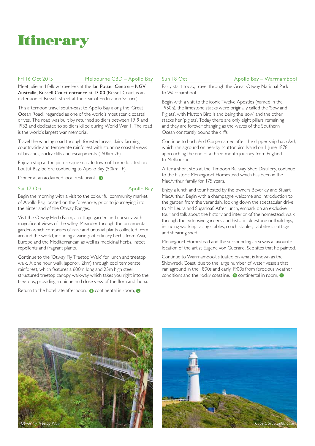

### Fri 16 Oct 2015 Melbourne CBD – Apollo Bay

Meet Julie and fellow travellers at the **Ian Potter Centre – NGV** Australia, Russell Court entrance at 13.00 (Russell Court is an extension of Russell Street at the rear of Federation Square).

This afternoon travel south-east to Apollo Bay along the 'Great Ocean Road', regarded as one of the world's most scenic coastal drives. The road was built by returned soldiers between 1919 and 1932 and dedicated to soldiers killed during World War 1. The road is the world's largest war memorial.

Travel the winding road through forested areas, dairy farming countryside and temperate rainforest with stunning coastal views of beaches, rocky cliffs and escarpments (150km 2h).

Enjoy a stop at the picturesque seaside town of Lorne located on Louttit Bay, before continuing to Apollo Bay (50km 1h).

Dinner at an acclaimed local restaurant.  $\bullet$ 

### Sat 17 Oct Apollo Bay

Begin the morning with a visit to the colourful community market of Apollo Bay, located on the foreshore, prior to journeying into the hinterland of the Otway Ranges.

Visit the Otway Herb Farm, a cottage garden and nursery with magnificent views of the valley. Meander through the ornamental garden which comprises of rare and unusual plants collected from around the world, including a variety of culinary herbs from Asia, Europe and the Mediterranean as well as medicinal herbs, insect repellents and fragrant plants.

Continue to the 'Otway Fly Treetop Walk' for lunch and treetop walk. A one hour walk (approx. 2km) through cool temperate rainforest, which features a 600m long and 25m high steel structured treetop canopy walkway which takes you right into the treetops, providing a unique and close view of the flora and fauna.

Return to the hotel late afternoon. **B** continental in room, **D** 

Sun 18 Oct Apollo Bay – Warrnambool

Early start today, travel through the Great Otway National Park to Warrnambool.

Begin with a visit to the iconic Twelve Apostles (named in the 1950's), the limestone stacks were originally called the 'Sow and Piglets', with Mutton Bird Island being the 'sow' and the other stacks her 'piglets'. Today there are only eight pillars remaining and they are forever changing as the waves of the Southern Ocean constantly pound the cliffs.

Continue to Loch Ard Gorge named after the clipper ship *Loch Ard*, which ran aground on nearby Muttonbird Island on 1 June 1878. approaching the end of a three-month journey from England to Melbourne.

After a short stop at the Timboon Railway Shed Distillery, continue to the historic Meningoort Homestead which has been in the MacArthur family for 175 years.

Enjoy a lunch and tour hosted by the owners Beverley and Stuart MacArthur. Begin with a champagne welcome and introduction to the garden from the verandah, looking down the spectacular drive to Mt Leura and Sugarloaf. After lunch, embark on an exclusive tour and talk about the history and interior of the homestead; walk through the extensive gardens and historic bluestone outbuildings, including working racing stables, coach stables, rabbiter's cottage and shearing shed.

Meningoort Homestead and the surrounding area was a favourite location of the artist Eugene von Guerard. See sites that he painted.

Continue to Warrnambool, situated on what is known as the Shipwreck Coast, due to the large number of water vessels that ran aground in the 1800s and early 1900s from ferocious weather conditions and the rocky coastline. **B** continental in room, **O** 



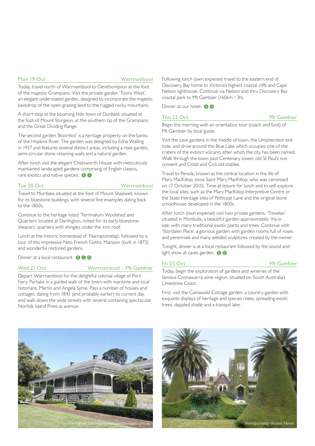### Mon 19 Oct Warrnambool

Today, travel north of Warrnambool to Glenthompson at the foot of the majestic Grampians. Visit the private garden 'Toora West', an elegant understated garden, designed to incorporate the majestic backdrop of the open grazing land to the rugged rocky mountains.

A short stop at the booming little town of Dunkeld, situated at the foot of Mount Sturgeon, at the southern tip of the Grampians and the Great Dividing Range.

The second garden 'Boortkoi' is a heritage property on the banks of the Hopkins River. The garden was designed by Edna Walling in 1937 and features several distinct areas, including a rose garden, semi-circular stone retaining walls and a natural garden.

After lunch visit the elegant Chatsworth House with meticulously maintained landscaped gardens comprising of English classics, rare exotics and native species.  $\bigcirc$   $\bigcirc$ 

### Tue 20 Oct Warrnambool

Travel to Mortlake situated at the foot of Mount Shadwell, known for its bluestone buildings, with several fine examples dating back to the 1850s.

Continue to the heritage listed 'Terrinallum Woolshed and Quarters' located at Darlington, noted for its early bluestone shearers' quarters with shingles under the iron roof.

Lunch at the historic homestead of 'Narrapumelap', followed by a tour of this impressive Neo-French Gothic Mansion (built in 1873) and wonderful restored gardens.

Dinner at a local restaurant. **B C D** 

### Wed 21 Oct Warrnambool – Mt Gambier

Depart Warrnambool for the delightful colonial village of Port Fairy. Partake in a guided walk of the town with maritime and local historians, Martin and Angela Syme. Pass a number of houses and cottages, dating from 1843 (and probably earlier) to current day, and walk down the wide streets with several containing spectacular Norfolk Island Pines as avenue.

Following lunch (own expense) travel to the eastern end of Discovery Bay home to Victoria's highest coastal cliffs and Cape Nelson lighthouse. Continue via Nelson and thru Discovery Bay coastal park to Mt Gambier (160km / 3h).

Dinner at our hotel. **B D** 

Begin this morning with an orientation tour (coach and foot) of Mt Gambier by local guide.

Visit the cave gardens in the middle of town, the Umpherston sink hole, and drive around the Blue Lake which occupies one of the craters of the extinct volcano, after which the city has been named. Walk through the town past Centenary tower, old St Paul's nun convent and Cobb and Co's old stables.

Travel to Penola, known as the central location in the life of Mary MacKillop, (now Saint Mary MacKillop, who was canonised on 17 October 2010). Time at leisure for lunch and to self-explore the local sites, such as the Mary MacKillop Interpretive Centre or the State Heritage sites of Petticoat Lane and the original stone schoolhouse developed in the 1800s.

After lunch (own expense) visit two private gardens. 'Trevelan' situated in Monbulla, a beautiful garden approximately 1ha in size, with many traditional exotic plants and trees. Continue with 'Stordalen Place', a glorious garden with garden rooms full of roses and perennials and many welded sculptures created by the owner.

Tonight, dinner is at a local restaurant followed by the sound and light show at caves garden.  $\bullet$ 

### Fri 23 Oct Mt Gambier

Today, begin the exploration of gardens and wineries of the famous Coonawarra wine region, situated on South Australia's Limestone Coast.

First, visit the Camawald Cottage garden, a country garden with exquisite displays of heritage and species roses, spreading exotic trees, dappled shade and a tranquil lake.





Thu 22 Oct Mt Gambier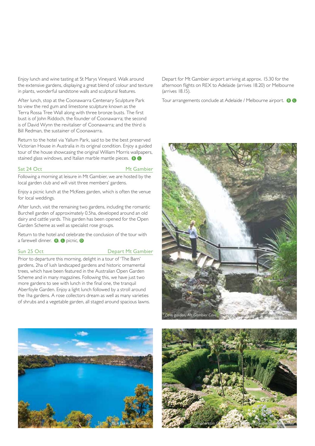Enjoy lunch and wine tasting at St Marys Vineyard. Walk around the extensive gardens, displaying a great blend of colour and texture in plants, wonderful sandstone walls and sculptural features.

After lunch, stop at the Coonawarra Centenary Sculpture Park to view the red gum and limestone sculpture known as the Terra Rossa Tree Wall along with three bronze busts. The first bust is of John Riddoch, the founder of Coonawarra; the second is of David Wynn the revitaliser of Coonawarra; and the third is Bill Redman, the sustainer of Coonawarra.

Return to the hotel via Yallum Park, said to be the best preserved Victorian House in Australia in its original condition. Enjoy a guided tour of the house showcasing the original William Morris wallpapers, stained glass windows, and Italian marble mantle pieces. <sup>8</sup>

#### Sat 24 Oct Mt Gambier

Following a morning at leisure in Mt Gambier, we are hosted by the local garden club and will visit three members' gardens.

Enjoy a picnic lunch at the McKees garden, which is often the venue for local weddings.

After lunch, visit the remaining two gardens, including the romantic Burchell garden of approximately 0.5ha, developed around an old dairy and cattle yards. This garden has been opened for the Open Garden Scheme as well as specialist rose groups.

Return to the hotel and celebrate the conclusion of the tour with a farewell dinner. **B**, **O** picnic, **D** 

### Sun 25 Oct Depart Mt Gambier

Prior to departure this morning, delight in a tour of 'The Barn' gardens, 2ha of lush landscaped gardens and historic ornamental trees, which have been featured in the Australian Open Garden Scheme and in many magazines. Following this, we have just two more gardens to see with lunch in the final one, the tranquil Aberfoyle Garden. Enjoy a light lunch followed by a stroll around the 1ha gardens. A rose collectors dream as well as many varieties of shrubs and a vegetable garden, all staged around spacious lawns.



Depart for Mt Gambier airport arriving at approx. 15.30 for the afternoon flights on REX to Adelaide (arrives 18.20) or Melbourne (arrives 18.15).

Tour arrangements conclude at Adelaide / Melbourne airport. <sup>8</sup>



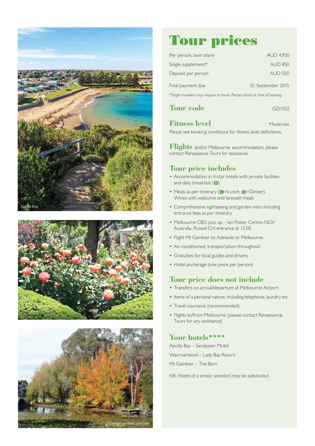





# **Tour prices**

| Per person, twin share | <b>AUD 4,950</b>  |
|------------------------|-------------------|
| Single supplement*     | <b>AUD 850</b>    |
| Deposit per person     | <b>AUD 500</b>    |
| Final payment due      | 01 September 2015 |
|                        |                   |

*\*Single travellers may request to share. Please advise at time of booking.*

| <b>Tour</b> code<br><b>GDI502</b> |
|-----------------------------------|
|-----------------------------------|

# **Fitness level** Moderate

Please see booking conditions for fitness level definitions.

**Flights** and/or Melbourne accommodation, please contact Renaissance Tours for assistance.

## **Tour price includes**

- Accommodation in 4-star hotels with private facilities and daily breakfast  $( \ \ \, \, \, \, \, \, \, \, \, \,$
- Meals as per itinerary ( $\bullet$  = Lunch,  $\bullet$  = Dinner). Wines with welcome and farewell meals
- Comprehensive sightseeing and garden visits including entrance fees as per itinerary
- Melbourne CBD pick up Ian Potter Centre-NGV Australia, Russell Crt entrance at 13.00
- Flight Mt Gambier to Adelaide or Melbourne
- Air-conditioned, transportation throughout
- Gratuities for local guides and drivers
- Hotel porterage (one piece per person)

# **Tour price does not include**

- Transfers on arrival/departure at Melbourne Airport
- Items of a personal nature, including telephone, laundry etc.
- Travel insurance (recommended)
- Flights to/from Melbourne (please contact Renaissance Tours for any assistance)

# Your hotels\*\*\*\*

Apollo Bay – Sandpiper Motel Warrnambool – Lady Bay Resort Mt Gambier – The Barn

*NB. Hotels of a similar standard may be substituted.*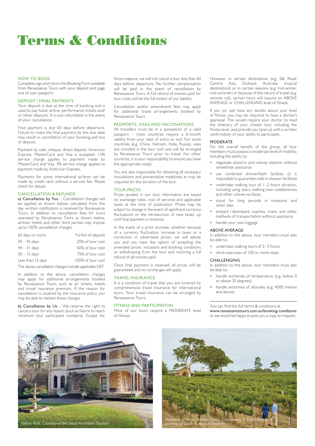# **Terms & Conditions**

#### HOW TO BOOK

Complete, sign and return the Booking Form available from Renaissance Tours with your deposit and page one of your passport.

#### DEPOSIT / FINAL PAYMENTS

Your deposit is due at the time of booking and is used to pay hotel, airline, performance tickets and/ or other deposits. It is non-refundable in the event of your cancellation.

Final payment is due 60 days before departure. Failure to make the final payment by the due date may result in cancellation of your booking and loss of deposit.

Payment by cash, cheque, direct deposit, American Express, MasterCard and Visa is accepted. 1.5% service charge applies to payment made by MasterCard and Visa. 3% service charge applies to payment made by American Express.

Payments for some international airfares can be made by credit card without a service fee. Please check for details.

#### CANCELLATION & REFUNDS

a) Cancellation by You - Cancellation charges will be applied as shown below, calculated from the day written notification is received by Renaissance Tours. In addition to cancellation fees for tours operated by Renaissance Tours as shown below, airlines, hotels and other third parties may impose up to 100% cancellation charges.

| 60 days or more   | Forfeit of deposit |
|-------------------|--------------------|
| $59 - 45$ days    | 25% of tour cost   |
| $44 - 31$ days    | 50% of tour cost   |
| $30 - 15$ days    | 75% of tour cost   |
| Less than 15 days | 100% of tour cost  |
|                   |                    |

The above cancellation charges include applicable GST.

In addition to the above, cancellation charges may apply for additional arrangements booked by Renaissance Tours, such as air tickets, hotels and travel insurance premium. If the reason for cancellation is covered by the insurance policy, you may be able to reclaim these charges.

b) Cancellation by Us - We reserve the right to cancel a tour for any reason (such as failure to reach minimum tour participant numbers). Except for

force majeure, we will not cancel a tour less than 60 days before departure. No further compensation will be paid in the event of cancellation by Renaissance Tours. A full refund of monies paid for tour costs will be the full extent of our liability.

Cancellation and/or amendment fees may apply for additional travel arrangements booked by Renaissance Tours.

### PASSPORTS, VISAS AND VACCINATIONS

All travellers must be in a possession of a valid passport – most countries require a 6-month validity from your date of entry or exit. For some countries (e.g. China, Vietnam, India, Russia), visas are included in the tour cost and will be arranged by Renaissance Tours prior to travel. For other countries, it is your responsibility to ensure you have the appropriate visa(s).

You are also responsible for obtaining all necessary inoculations and preventative medicines as may be required for the duration of the tour.

#### TOUR PRICES

Prices quoted in our tour information are based on exchange rates, cost of services and applicable taxes at the time of publication. Prices may be subject to change in the event of significant currency fluctuations or the introduction of new taxes, up until final payment is received.

In the event of a price increase, whether because of a currency fluctuation, increase in taxes or a correction in advertised prices, we will advise you and you have the option of accepting the amended prices, inclusions and booking conditions or withdrawing from the tour and receiving a full refund of all monies paid.

Once final payment is received, all prices will be guaranteed and no surcharges will apply.

#### TRAVEL INSURANCE

It is a condition of travel that you are covered by comprehensive travel insurance for international tours. Your travel insurance can be arranged by Renaissance Tours.

#### FITNESS AND PARTICIPATION

Most of our tours require a MODERATE level of fitness.

However, in certain destinations (e.g. Silk Road, Central Asia, Outback Australia, tropical destinations) or in certain seasons (e.g. mid-winter, mid-summer) or because of the nature of travel (e.g. remote rail), certain tours will require an ABOVE AVERAGE or CHALLENGING level of fitness.

If you (or we) have any doubts about your level of fitness, you may be required to have a doctor's appraisal. This would require your doctor to read the itinerary of your chosen tour, including the fitness level, and provide you (and us) with a written confirmation of your ability to participate.

#### MODERATE

For the overall benefit of the group, all tour members must possess a moderate level of mobility, including the ability to:

- negotiate airports and railway stations without wheelchair assistance
- use combined shower/bath facilities (it is impossible to guarantee walk-in shower facilities)
- undertake walking tour of 1-2 hours duration, including using stairs, walking over cobblestones and other uneven surfaces
- stand for long periods in museums and other sites
- embark / disembark coaches, trains and other methods of transportation without assistance
- handle your own luggage

#### ABOVE AVERAGE

In addition to the above, tour members must also be able to:

- undertake walking tours of 2–3 hours
- climb staircases of 100 or more steps

#### CHALLENGING

In addition to the above, tour members must also be able to:

- handle extremes of temperature (e.g. below 0 or above 35 degrees)
- handle extremes of altitudes (e.g. 4000 metres and above).

You can find the full terms & conditions at www.renaissancetours.com.au/booking-conditions or we would be happy to post you a copy on request.